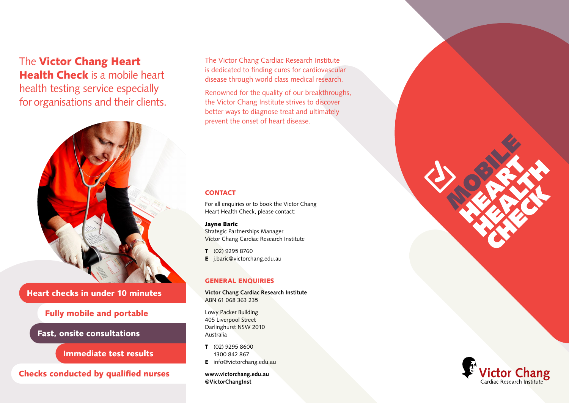# The Victor Chang Heart Health Check is a mobile heart health testing service especially for organisations and their clients.



Heart checks in under 10 minutes

# Fully mobile and portable

Fast, onsite consultations

Immediate test results

Checks conducted by qualified nurses

The Victor Chang Cardiac Research Institute is dedicated to finding cures for cardiovascular disease through world class medical research.

Renowned for the quality of our breakthroughs, the Victor Chang Institute strives to discover better ways to diagnose treat and ultimately prevent the onset of heart disease.

# **CONTACT**

For all enquiries or to book the Victor Chang Heart Health Check, please contact:

### Jayne Baric

Strategic Partnerships Manager Victor Chang Cardiac Research Institute

T (02) 9295 8760

E j.baric@victorchang.edu.au

# GENERAL ENQUIRIES

**Victor Chang Cardiac Research Institute** ABN 61 068 363 235

Lowy Packer Building 405 Liverpool Street Darlinghurst NSW 2010 Australia

- T (02) 9295 8600 1300 842 867
- **E** info@victorchang.edu.au

**www.victorchang.edu.au @VictorChangInst**